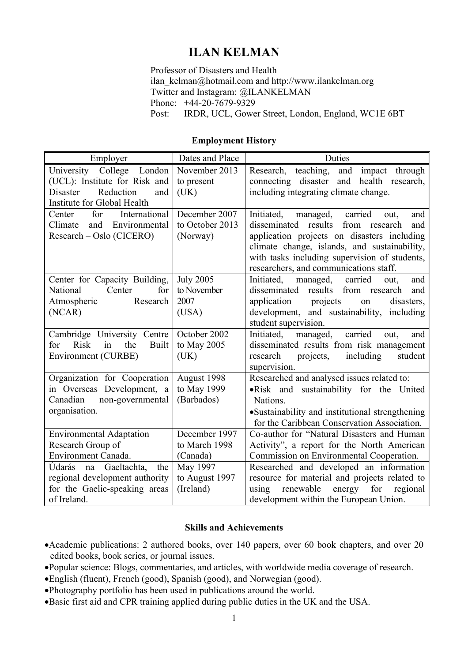# **ILAN KELMAN**

Professor of Disasters and Health ilan\_kelman@hotmail.com and http://www.ilankelman.org Twitter and Instagram: @ILANKELMAN Phone: +44-20-7679-9329 Post: IRDR, UCL, Gower Street, London, England, WC1E 6BT

### **Employment History**

| Employer                                                                                                                                                                                      | Dates and Place                                                                       | Duties                                                                                                                                                                                                                                                                                                                        |
|-----------------------------------------------------------------------------------------------------------------------------------------------------------------------------------------------|---------------------------------------------------------------------------------------|-------------------------------------------------------------------------------------------------------------------------------------------------------------------------------------------------------------------------------------------------------------------------------------------------------------------------------|
| College<br>University<br>London<br>(UCL): Institute for Risk and<br><b>Disaster</b><br>Reduction<br>and<br>Institute for Global Health                                                        | November 2013<br>to present<br>(UK)                                                   | teaching,<br>and<br>through<br>Research,<br>impact<br>health research,<br>disaster<br>connecting<br>and<br>including integrating climate change.                                                                                                                                                                              |
| International<br>for<br>Center<br>Climate<br>and<br>Environmental<br>Research – Oslo (CICERO)                                                                                                 | December 2007<br>to October 2013<br>(Norway)                                          | Initiated,<br>managed,<br>carried<br>and<br>out,<br>disseminated results from research<br>and<br>application projects on disasters including<br>climate change, islands, and sustainability,<br>with tasks including supervision of students,<br>researchers, and communications staff.                                       |
| Center for Capacity Building,<br>for<br>National<br>Center<br>Atmospheric<br>Research<br>(NCAR)                                                                                               | <b>July 2005</b><br>to November<br>2007<br>(USA)                                      | Initiated,<br>managed,<br>carried<br>and<br>out,<br>disseminated<br>results from<br>research<br>and<br>application projects<br>disasters,<br>on<br>development, and sustainability, including<br>student supervision.                                                                                                         |
| Cambridge University Centre<br><b>Risk</b><br>the<br><b>Built</b><br>for<br>in<br>Environment (CURBE)                                                                                         | October 2002<br>to May 2005<br>(UK)                                                   | Initiated,<br>managed,<br>carried<br>out,<br>and<br>disseminated results from risk management<br>including<br>research<br>projects,<br>student<br>supervision.                                                                                                                                                                |
| Organization for Cooperation<br>in Overseas Development, a<br>Canadian<br>non-governmental<br>organisation.                                                                                   | August 1998<br>to May 1999<br>(Barbados)                                              | Researched and analysed issues related to:<br>. Risk and sustainability for the United<br>Nations.<br>•Sustainability and institutional strengthening<br>for the Caribbean Conservation Association.                                                                                                                          |
| <b>Environmental Adaptation</b><br>Research Group of<br>Environment Canada.<br>Údarás na Gaeltachta,<br>the<br>regional development authority<br>for the Gaelic-speaking areas<br>of Ireland. | December 1997<br>to March 1998<br>(Canada)<br>May 1997<br>to August 1997<br>(Ireland) | Co-author for "Natural Disasters and Human<br>Activity", a report for the North American<br>Commission on Environmental Cooperation.<br>Researched and developed an information<br>resource for material and projects related to<br>renewable<br>energy<br>for<br>using<br>regional<br>development within the European Union. |

#### **Skills and Achievements**

- •Academic publications: 2 authored books, over 140 papers, over 60 book chapters, and over 20 edited books, book series, or journal issues.
- •Popular science: Blogs, commentaries, and articles, with worldwide media coverage of research.
- •English (fluent), French (good), Spanish (good), and Norwegian (good).
- •Photography portfolio has been used in publications around the world.
- •Basic first aid and CPR training applied during public duties in the UK and the USA.